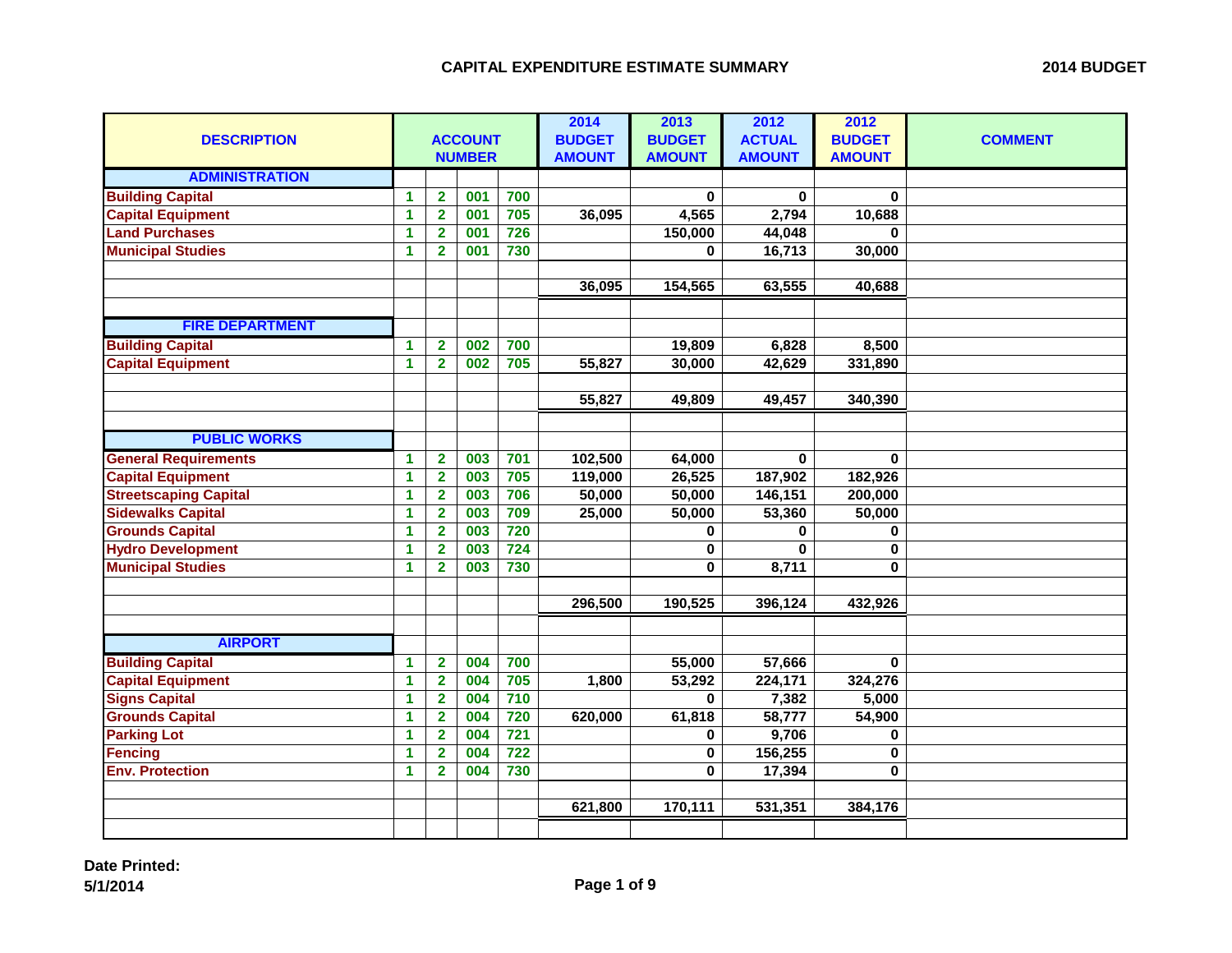| <b>DESCRIPTION</b>           | <b>ACCOUNT</b><br><b>NUMBER</b> |                         |     |                  | 2014<br><b>BUDGET</b><br><b>AMOUNT</b> | 2013<br><b>BUDGET</b><br><b>AMOUNT</b> | 2012<br><b>ACTUAL</b><br><b>AMOUNT</b> | 2012<br><b>BUDGET</b><br><b>AMOUNT</b> | <b>COMMENT</b> |
|------------------------------|---------------------------------|-------------------------|-----|------------------|----------------------------------------|----------------------------------------|----------------------------------------|----------------------------------------|----------------|
| <b>ADMINISTRATION</b>        |                                 |                         |     |                  |                                        |                                        |                                        |                                        |                |
| <b>Building Capital</b>      | $\blacktriangleleft$            | $\overline{\mathbf{2}}$ | 001 | 700              |                                        | $\mathbf 0$                            | 0                                      | 0                                      |                |
| <b>Capital Equipment</b>     | 1                               | $\overline{\mathbf{2}}$ | 001 | 705              | 36,095                                 | 4,565                                  | 2,794                                  | 10,688                                 |                |
| <b>Land Purchases</b>        | 1                               | $\overline{\mathbf{2}}$ | 001 | 726              |                                        | 150,000                                | 44,048                                 | $\Omega$                               |                |
| <b>Municipal Studies</b>     | 1                               | $\mathbf{2}$            | 001 | 730              |                                        | 0                                      | 16,713                                 | 30,000                                 |                |
|                              |                                 |                         |     |                  |                                        |                                        |                                        |                                        |                |
|                              |                                 |                         |     |                  | 36,095                                 | 154,565                                | 63,555                                 | 40,688                                 |                |
|                              |                                 |                         |     |                  |                                        |                                        |                                        |                                        |                |
| <b>FIRE DEPARTMENT</b>       |                                 |                         |     |                  |                                        |                                        |                                        |                                        |                |
| <b>Building Capital</b>      | $\blacktriangleleft$            | $\overline{\mathbf{2}}$ | 002 | 700              |                                        | 19,809                                 | 6,828                                  | 8,500                                  |                |
| <b>Capital Equipment</b>     | 1                               | $\overline{\mathbf{2}}$ | 002 | 705              | 55,827                                 | 30,000                                 | 42,629                                 | 331,890                                |                |
|                              |                                 |                         |     |                  |                                        |                                        |                                        |                                        |                |
|                              |                                 |                         |     |                  | 55,827                                 | 49,809                                 | 49,457                                 | 340,390                                |                |
|                              |                                 |                         |     |                  |                                        |                                        |                                        |                                        |                |
| <b>PUBLIC WORKS</b>          |                                 |                         |     |                  |                                        |                                        |                                        |                                        |                |
| <b>General Requirements</b>  | $\blacktriangleleft$            | $\overline{\mathbf{2}}$ | 003 | 701              | 102,500                                | 64,000                                 | 0                                      | $\bf{0}$                               |                |
| <b>Capital Equipment</b>     | 1                               | $\overline{\mathbf{2}}$ | 003 | 705              | 119,000                                | 26,525                                 | 187,902                                | 182,926                                |                |
| <b>Streetscaping Capital</b> | $\blacktriangleleft$            | $\overline{\mathbf{2}}$ | 003 | 706              | 50,000                                 | 50,000                                 | 146,151                                | 200,000                                |                |
| <b>Sidewalks Capital</b>     | 1                               | $\overline{\mathbf{2}}$ | 003 | 709              | 25,000                                 | 50,000                                 | 53,360                                 | 50,000                                 |                |
| <b>Grounds Capital</b>       | 1                               | $\overline{\mathbf{2}}$ | 003 | 720              |                                        | $\bf{0}$                               | 0                                      | 0                                      |                |
| <b>Hydro Development</b>     | $\blacktriangleleft$            | $\overline{\mathbf{2}}$ | 003 | 724              |                                        | $\mathbf 0$                            | 0                                      | 0                                      |                |
| <b>Municipal Studies</b>     | 1                               | $\overline{2}$          | 003 | 730              |                                        | $\bf{0}$                               | 8,711                                  | $\bf{0}$                               |                |
|                              |                                 |                         |     |                  |                                        |                                        |                                        |                                        |                |
|                              |                                 |                         |     |                  | 296,500                                | 190,525                                | 396,124                                | 432,926                                |                |
|                              |                                 |                         |     |                  |                                        |                                        |                                        |                                        |                |
| <b>AIRPORT</b>               |                                 |                         |     |                  |                                        |                                        |                                        |                                        |                |
| <b>Building Capital</b>      | $\blacktriangleleft$            | $\overline{\mathbf{2}}$ | 004 | 700              |                                        | 55,000                                 | 57,666                                 | $\mathbf{0}$                           |                |
| <b>Capital Equipment</b>     | 1                               | $\overline{\mathbf{2}}$ | 004 | 705              | 1,800                                  | 53,292                                 | 224,171                                | 324,276                                |                |
| <b>Signs Capital</b>         | 1                               | $\overline{2}$          | 004 | 710              |                                        | $\bf{0}$                               | 7,382                                  | 5,000                                  |                |
| <b>Grounds Capital</b>       | 1                               | $\overline{\mathbf{2}}$ | 004 | 720              | 620,000                                | 61,818                                 | 58,777                                 | 54,900                                 |                |
| <b>Parking Lot</b>           | $\blacktriangleleft$            | $\overline{2}$          | 004 | 721              |                                        | 0                                      | 9,706                                  | 0                                      |                |
| <b>Fencing</b>               | $\blacktriangleleft$            | $\overline{\mathbf{2}}$ | 004 | $\overline{722}$ |                                        | 0                                      | 156,255                                | 0                                      |                |
| <b>Env. Protection</b>       | 1                               | $\overline{2}$          | 004 | 730              |                                        | $\mathbf 0$                            | 17,394                                 | 0                                      |                |
|                              |                                 |                         |     |                  |                                        |                                        |                                        |                                        |                |
|                              |                                 |                         |     |                  | 621,800                                | 170,111                                | 531,351                                | 384,176                                |                |
|                              |                                 |                         |     |                  |                                        |                                        |                                        |                                        |                |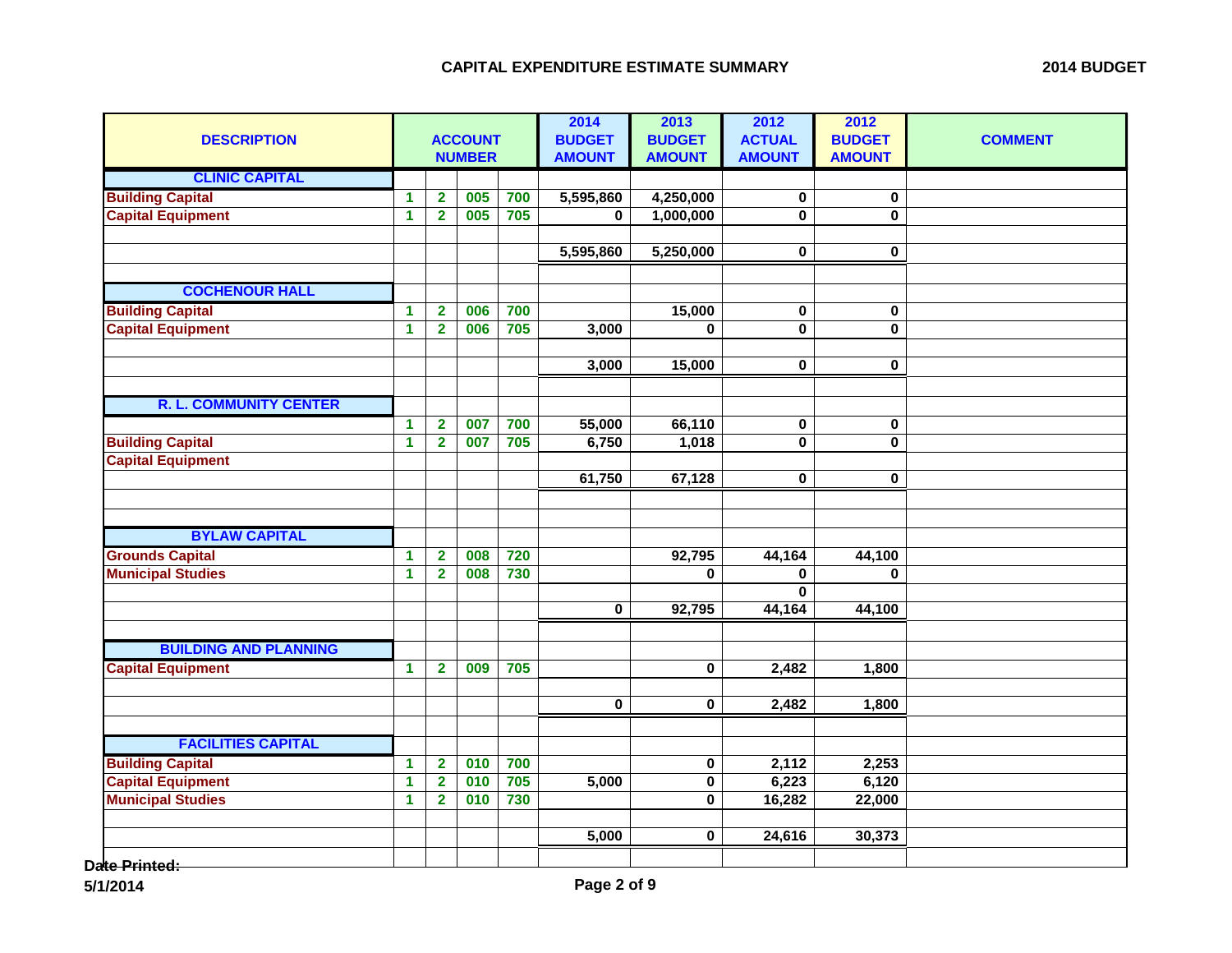| <b>DESCRIPTION</b>            |                      |                         | <b>ACCOUNT</b><br><b>NUMBER</b> |     | 2014<br><b>BUDGET</b><br><b>AMOUNT</b> | 2013<br><b>BUDGET</b><br><b>AMOUNT</b> | 2012<br><b>ACTUAL</b><br><b>AMOUNT</b> | 2012<br><b>BUDGET</b><br><b>AMOUNT</b> | <b>COMMENT</b> |
|-------------------------------|----------------------|-------------------------|---------------------------------|-----|----------------------------------------|----------------------------------------|----------------------------------------|----------------------------------------|----------------|
| <b>CLINIC CAPITAL</b>         |                      |                         |                                 |     |                                        |                                        |                                        |                                        |                |
| <b>Building Capital</b>       | $\blacktriangleleft$ | $\mathbf{2}$            | 005                             | 700 | 5,595,860                              | 4,250,000                              | 0                                      | $\mathbf 0$                            |                |
| <b>Capital Equipment</b>      | $\blacktriangleleft$ | $\overline{2}$          | 005                             | 705 | $\mathbf{0}$                           | 1,000,000                              | 0                                      | $\bf{0}$                               |                |
|                               |                      |                         |                                 |     |                                        |                                        |                                        |                                        |                |
|                               |                      |                         |                                 |     | 5,595,860                              | 5,250,000                              | 0                                      | 0                                      |                |
| <b>COCHENOUR HALL</b>         |                      |                         |                                 |     |                                        |                                        |                                        |                                        |                |
| <b>Building Capital</b>       | $\blacktriangleleft$ | $\overline{\mathbf{2}}$ | 006                             | 700 |                                        | 15,000                                 | 0                                      | 0                                      |                |
| <b>Capital Equipment</b>      | $\overline{1}$       | $\overline{2}$          | 006                             | 705 | 3,000                                  | $\mathbf 0$                            | $\mathbf 0$                            | 0                                      |                |
|                               |                      |                         |                                 |     |                                        |                                        |                                        |                                        |                |
|                               |                      |                         |                                 |     | 3,000                                  | 15,000                                 | $\pmb{0}$                              | $\mathbf 0$                            |                |
|                               |                      |                         |                                 |     |                                        |                                        |                                        |                                        |                |
| <b>R. L. COMMUNITY CENTER</b> |                      |                         |                                 |     |                                        |                                        |                                        |                                        |                |
|                               | $\blacktriangleleft$ | $\overline{2}$          | 007                             | 700 | 55,000                                 | 66,110                                 | $\pmb{0}$                              | $\mathbf 0$                            |                |
| <b>Building Capital</b>       | $\overline{1}$       | $\overline{2}$          | 007                             | 705 | 6,750                                  | 1,018                                  | $\mathbf 0$                            | 0                                      |                |
| <b>Capital Equipment</b>      |                      |                         |                                 |     |                                        |                                        |                                        |                                        |                |
|                               |                      |                         |                                 |     | 61,750                                 | 67,128                                 | 0                                      | 0                                      |                |
|                               |                      |                         |                                 |     |                                        |                                        |                                        |                                        |                |
|                               |                      |                         |                                 |     |                                        |                                        |                                        |                                        |                |
| <b>BYLAW CAPITAL</b>          |                      |                         |                                 |     |                                        |                                        |                                        |                                        |                |
| <b>Grounds Capital</b>        | 1                    | $\overline{\mathbf{2}}$ | 008                             | 720 |                                        | 92,795                                 | 44,164                                 | 44,100                                 |                |
| <b>Municipal Studies</b>      | $\blacktriangleleft$ | $\overline{\mathbf{2}}$ | 008                             | 730 |                                        | $\bf{0}$                               | 0                                      | $\mathbf{0}$                           |                |
|                               |                      |                         |                                 |     |                                        |                                        | 0                                      |                                        |                |
|                               |                      |                         |                                 |     | $\bf{0}$                               | 92,795                                 | 44,164                                 | 44,100                                 |                |
|                               |                      |                         |                                 |     |                                        |                                        |                                        |                                        |                |
| <b>BUILDING AND PLANNING</b>  |                      |                         |                                 |     |                                        |                                        |                                        |                                        |                |
| <b>Capital Equipment</b>      | $\mathbf 1$          | $\overline{2}$          | 009                             | 705 |                                        | $\pmb{0}$                              | 2,482                                  | 1,800                                  |                |
|                               |                      |                         |                                 |     |                                        |                                        |                                        |                                        |                |
|                               |                      |                         |                                 |     | $\overline{\mathbf{0}}$                | 0                                      | 2,482                                  | 1,800                                  |                |
|                               |                      |                         |                                 |     |                                        |                                        |                                        |                                        |                |
| <b>FACILITIES CAPITAL</b>     |                      |                         |                                 |     |                                        |                                        |                                        |                                        |                |
| <b>Building Capital</b>       | $\mathbf{1}$         | $\overline{\mathbf{2}}$ | 010                             | 700 |                                        | $\pmb{0}$                              | 2,112                                  | 2,253                                  |                |
| <b>Capital Equipment</b>      | $\blacktriangleleft$ | $\overline{\mathbf{2}}$ | 010                             | 705 | 5,000                                  | $\pmb{0}$                              | 6,223                                  | 6,120                                  |                |
| <b>Municipal Studies</b>      | $\blacktriangleleft$ | $\overline{\mathbf{2}}$ | 010                             | 730 |                                        | $\pmb{0}$                              | 16,282                                 | 22,000                                 |                |
|                               |                      |                         |                                 |     |                                        |                                        |                                        |                                        |                |
|                               |                      |                         |                                 |     | 5,000                                  | 0                                      | 24,616                                 | 30,373                                 |                |
| ato Drintod:                  |                      |                         |                                 |     |                                        |                                        |                                        |                                        |                |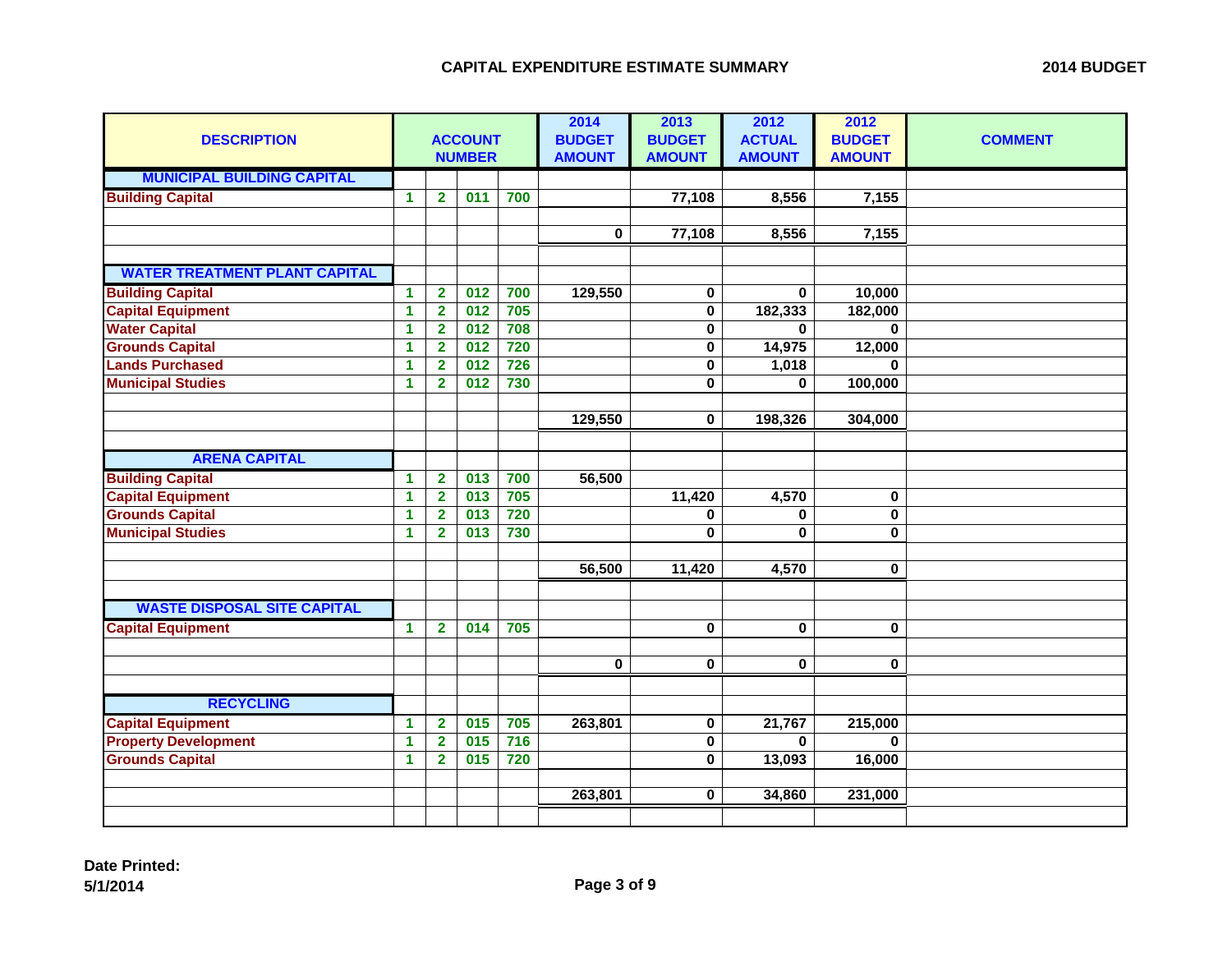| <b>DESCRIPTION</b>                   |                      |                         | <b>ACCOUNT</b><br><b>NUMBER</b> |     | 2014<br><b>BUDGET</b><br><b>AMOUNT</b> | 2013<br><b>BUDGET</b><br><b>AMOUNT</b> | 2012<br><b>ACTUAL</b><br><b>AMOUNT</b> | 2012<br><b>BUDGET</b><br><b>AMOUNT</b> | <b>COMMENT</b> |
|--------------------------------------|----------------------|-------------------------|---------------------------------|-----|----------------------------------------|----------------------------------------|----------------------------------------|----------------------------------------|----------------|
| <b>MUNICIPAL BUILDING CAPITAL</b>    |                      |                         |                                 |     |                                        |                                        |                                        |                                        |                |
| <b>Building Capital</b>              | $\blacktriangleleft$ | $\overline{2}$          | 011                             | 700 |                                        | 77,108                                 | 8,556                                  | 7,155                                  |                |
|                                      |                      |                         |                                 |     |                                        |                                        |                                        |                                        |                |
|                                      |                      |                         |                                 |     | $\mathbf 0$                            | 77,108                                 | 8,556                                  | 7,155                                  |                |
| <b>WATER TREATMENT PLANT CAPITAL</b> |                      |                         |                                 |     |                                        |                                        |                                        |                                        |                |
| <b>Building Capital</b>              | $\blacktriangleleft$ | $\overline{2}$          | 012                             | 700 | 129,550                                | 0                                      | $\mathbf{0}$                           | 10,000                                 |                |
| <b>Capital Equipment</b>             | $\mathbf{1}$         | $\overline{2}$          | $\overline{012}$                | 705 |                                        | $\mathbf 0$                            | 182,333                                | 182,000                                |                |
| <b>Water Capital</b>                 | 1                    | $\overline{\mathbf{2}}$ | $\overline{012}$                | 708 |                                        | $\pmb{0}$                              | $\bf{0}$                               | $\mathbf{0}$                           |                |
| <b>Grounds Capital</b>               | 1                    | $\overline{\mathbf{2}}$ | $\overline{012}$                | 720 |                                        | $\pmb{0}$                              | 14,975                                 | 12,000                                 |                |
| <b>Lands Purchased</b>               | 1                    | $\overline{2}$          | $\overline{012}$                | 726 |                                        | $\bf{0}$                               | 1,018                                  | $\Omega$                               |                |
| <b>Municipal Studies</b>             | $\blacktriangleleft$ | $\overline{2}$          | 012                             | 730 |                                        | 0                                      | $\bf{0}$                               | 100,000                                |                |
|                                      |                      |                         |                                 |     |                                        |                                        |                                        |                                        |                |
|                                      |                      |                         |                                 |     | 129,550                                | $\bf{0}$                               | 198,326                                | 304,000                                |                |
|                                      |                      |                         |                                 |     |                                        |                                        |                                        |                                        |                |
| <b>ARENA CAPITAL</b>                 |                      |                         |                                 |     |                                        |                                        |                                        |                                        |                |
| <b>Building Capital</b>              | $\mathbf{1}$         | $\overline{\mathbf{2}}$ | 013                             | 700 | 56,500                                 |                                        |                                        |                                        |                |
| <b>Capital Equipment</b>             | 1                    | $\overline{\mathbf{2}}$ | 013                             | 705 |                                        | 11,420                                 | 4,570                                  | 0                                      |                |
| <b>Grounds Capital</b>               | 1                    | $\overline{\mathbf{2}}$ | 013                             | 720 |                                        | 0                                      | 0                                      | $\pmb{0}$                              |                |
| <b>Municipal Studies</b>             | 1                    | $\overline{2}$          | 013                             | 730 |                                        | $\bf{0}$                               | $\bf{0}$                               | $\mathbf 0$                            |                |
|                                      |                      |                         |                                 |     |                                        |                                        |                                        |                                        |                |
|                                      |                      |                         |                                 |     | 56,500                                 | 11,420                                 | 4,570                                  | $\overline{\mathbf{0}}$                |                |
|                                      |                      |                         |                                 |     |                                        |                                        |                                        |                                        |                |
| <b>WASTE DISPOSAL SITE CAPITAL</b>   |                      |                         |                                 |     |                                        |                                        |                                        |                                        |                |
| <b>Capital Equipment</b>             | $\blacktriangleleft$ | $\overline{2}$          | 014                             | 705 |                                        | $\mathbf 0$                            | $\mathbf 0$                            | $\mathbf 0$                            |                |
|                                      |                      |                         |                                 |     |                                        |                                        |                                        |                                        |                |
|                                      |                      |                         |                                 |     | $\mathbf 0$                            | $\pmb{0}$                              | $\mathbf 0$                            | $\mathbf 0$                            |                |
|                                      |                      |                         |                                 |     |                                        |                                        |                                        |                                        |                |
| <b>RECYCLING</b>                     |                      |                         |                                 |     |                                        |                                        |                                        |                                        |                |
| <b>Capital Equipment</b>             | $\blacktriangleleft$ | $\overline{\mathbf{2}}$ | 015                             | 705 | 263,801                                | $\bf{0}$                               | 21,767                                 | 215,000                                |                |
| <b>Property Development</b>          | 1                    | $\overline{\mathbf{2}}$ | 015                             | 716 |                                        | 0                                      | $\bf{0}$                               | $\mathbf{0}$                           |                |
| <b>Grounds Capital</b>               | 1                    | $\overline{\mathbf{2}}$ | 015                             | 720 |                                        | 0                                      | 13,093                                 | 16,000                                 |                |
|                                      |                      |                         |                                 |     |                                        |                                        |                                        |                                        |                |
|                                      |                      |                         |                                 |     | 263,801                                | $\mathbf 0$                            | 34,860                                 | 231,000                                |                |
|                                      |                      |                         |                                 |     |                                        |                                        |                                        |                                        |                |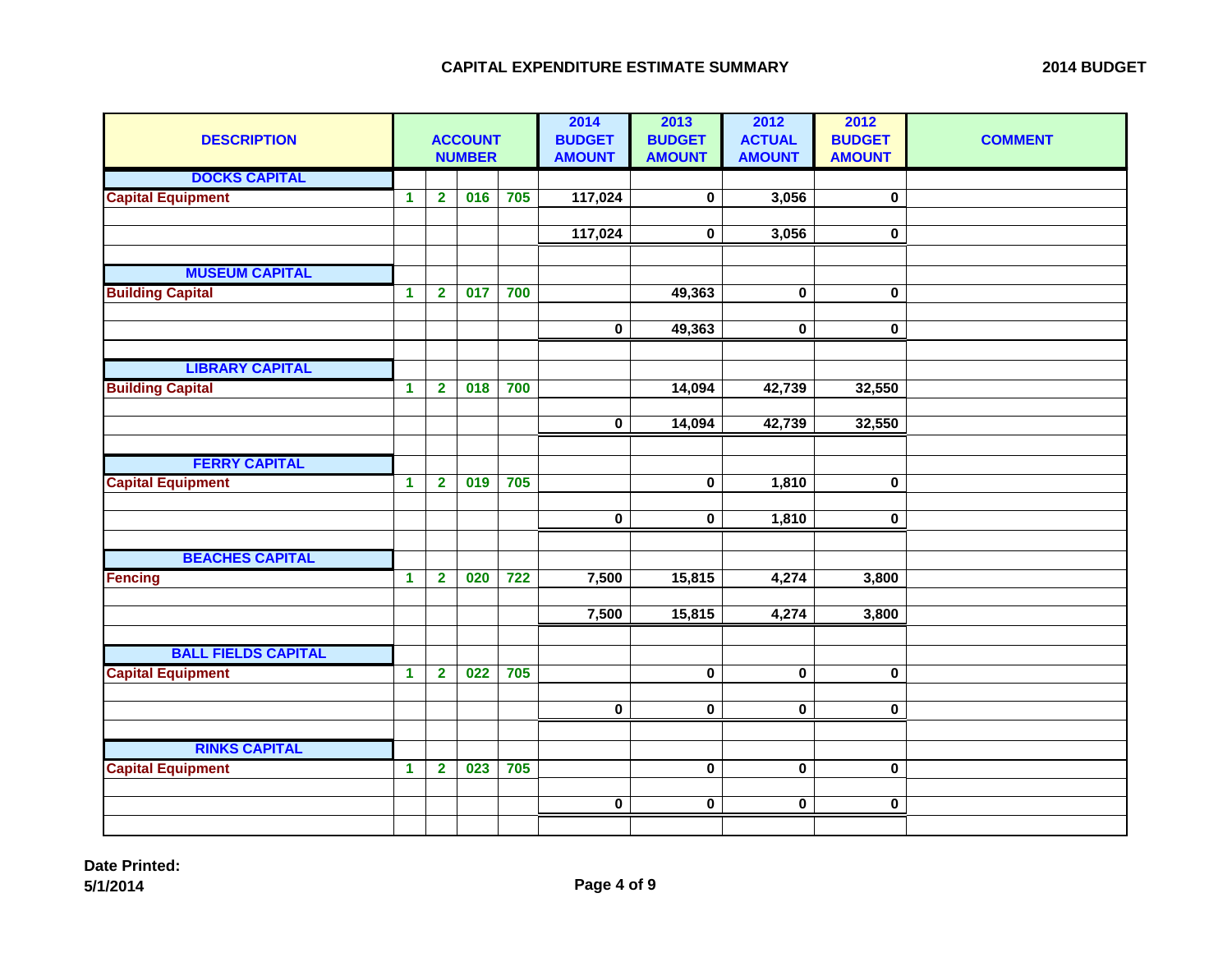| <b>DESCRIPTION</b>         | <b>ACCOUNT</b><br><b>NUMBER</b> |                         |     |     | 2014<br><b>BUDGET</b><br><b>AMOUNT</b> | 2013<br><b>BUDGET</b><br><b>AMOUNT</b> | 2012<br><b>ACTUAL</b><br><b>AMOUNT</b> | 2012<br><b>BUDGET</b><br><b>AMOUNT</b> | <b>COMMENT</b> |
|----------------------------|---------------------------------|-------------------------|-----|-----|----------------------------------------|----------------------------------------|----------------------------------------|----------------------------------------|----------------|
| <b>DOCKS CAPITAL</b>       |                                 |                         |     |     |                                        |                                        |                                        |                                        |                |
| <b>Capital Equipment</b>   | $\mathbf 1$                     | $\overline{2}$          | 016 | 705 | 117,024                                | $\pmb{0}$                              | 3,056                                  | 0                                      |                |
|                            |                                 |                         |     |     |                                        |                                        |                                        |                                        |                |
|                            |                                 |                         |     |     | 117,024                                | $\mathbf 0$                            | 3,056                                  | $\mathbf 0$                            |                |
|                            |                                 |                         |     |     |                                        |                                        |                                        |                                        |                |
| <b>MUSEUM CAPITAL</b>      |                                 |                         |     |     |                                        |                                        |                                        |                                        |                |
| <b>Building Capital</b>    | $\blacktriangleleft$            | $\overline{\mathbf{2}}$ | 017 | 700 |                                        | 49,363                                 | $\mathbf 0$                            | $\mathbf 0$                            |                |
|                            |                                 |                         |     |     |                                        |                                        |                                        |                                        |                |
|                            |                                 |                         |     |     | $\mathbf 0$                            | 49,363                                 | 0                                      | 0                                      |                |
|                            |                                 |                         |     |     |                                        |                                        |                                        |                                        |                |
| <b>LIBRARY CAPITAL</b>     |                                 |                         |     |     |                                        |                                        |                                        |                                        |                |
| <b>Building Capital</b>    | $\mathbf 1$                     | $\overline{\mathbf{2}}$ | 018 | 700 |                                        | 14,094                                 | 42,739                                 | 32,550                                 |                |
|                            |                                 |                         |     |     |                                        |                                        |                                        |                                        |                |
|                            |                                 |                         |     |     | $\bf{0}$                               | 14,094                                 | 42,739                                 | 32,550                                 |                |
|                            |                                 |                         |     |     |                                        |                                        |                                        |                                        |                |
| <b>FERRY CAPITAL</b>       |                                 |                         |     |     |                                        |                                        |                                        |                                        |                |
| <b>Capital Equipment</b>   | $\blacktriangleleft$            | $\overline{\mathbf{2}}$ | 019 | 705 |                                        | $\bf{0}$                               | 1,810                                  | 0                                      |                |
|                            |                                 |                         |     |     | $\pmb{0}$                              | $\pmb{0}$                              | 1,810                                  | 0                                      |                |
|                            |                                 |                         |     |     |                                        |                                        |                                        |                                        |                |
| <b>BEACHES CAPITAL</b>     |                                 |                         |     |     |                                        |                                        |                                        |                                        |                |
| <b>Fencing</b>             | $\blacktriangleleft$            | $\overline{\mathbf{2}}$ | 020 | 722 | 7,500                                  | 15,815                                 | 4,274                                  | 3,800                                  |                |
|                            |                                 |                         |     |     |                                        |                                        |                                        |                                        |                |
|                            |                                 |                         |     |     | 7,500                                  | 15,815                                 | 4,274                                  | 3,800                                  |                |
|                            |                                 |                         |     |     |                                        |                                        |                                        |                                        |                |
| <b>BALL FIELDS CAPITAL</b> |                                 |                         |     |     |                                        |                                        |                                        |                                        |                |
| <b>Capital Equipment</b>   | $\mathbf 1$                     | $\overline{\mathbf{2}}$ | 022 | 705 |                                        | $\pmb{0}$                              | $\pmb{0}$                              | $\mathbf 0$                            |                |
|                            |                                 |                         |     |     |                                        |                                        |                                        |                                        |                |
|                            |                                 |                         |     |     | $\mathbf 0$                            | $\pmb{0}$                              | $\mathbf 0$                            | $\mathbf 0$                            |                |
|                            |                                 |                         |     |     |                                        |                                        |                                        |                                        |                |
| <b>RINKS CAPITAL</b>       |                                 |                         |     |     |                                        |                                        |                                        |                                        |                |
| <b>Capital Equipment</b>   | $\blacktriangleleft$            | $\overline{2}$          | 023 | 705 |                                        | $\pmb{0}$                              | $\pmb{0}$                              | $\mathbf 0$                            |                |
|                            |                                 |                         |     |     |                                        |                                        |                                        |                                        |                |
|                            |                                 |                         |     |     | $\mathbf 0$                            | $\pmb{0}$                              | $\mathbf 0$                            | $\mathbf 0$                            |                |
|                            |                                 |                         |     |     |                                        |                                        |                                        |                                        |                |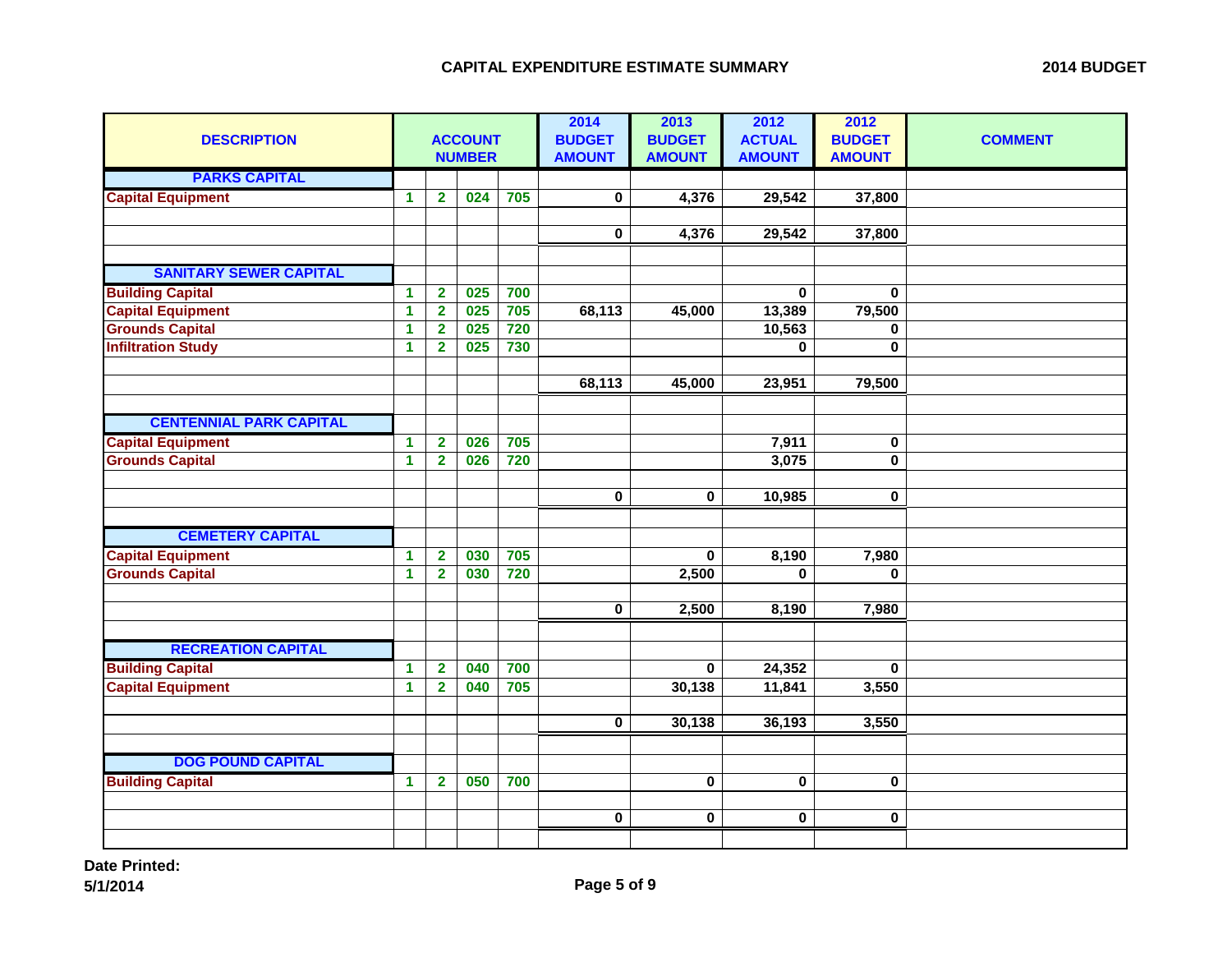| <b>DESCRIPTION</b>             | <b>ACCOUNT</b><br><b>NUMBER</b> |                         |     |     | 2014<br><b>BUDGET</b><br><b>AMOUNT</b> | 2013<br><b>BUDGET</b><br><b>AMOUNT</b> | 2012<br><b>ACTUAL</b><br><b>AMOUNT</b> | 2012<br><b>BUDGET</b><br><b>AMOUNT</b> | <b>COMMENT</b> |
|--------------------------------|---------------------------------|-------------------------|-----|-----|----------------------------------------|----------------------------------------|----------------------------------------|----------------------------------------|----------------|
| <b>PARKS CAPITAL</b>           |                                 |                         |     |     |                                        |                                        |                                        |                                        |                |
| <b>Capital Equipment</b>       | $\blacktriangleleft$            | $\overline{2}$          | 024 | 705 | $\mathbf 0$                            | 4,376                                  | 29,542                                 | 37,800                                 |                |
|                                |                                 |                         |     |     |                                        |                                        |                                        |                                        |                |
|                                |                                 |                         |     |     | $\pmb{0}$                              | 4,376                                  | 29,542                                 | 37,800                                 |                |
|                                |                                 |                         |     |     |                                        |                                        |                                        |                                        |                |
| <b>SANITARY SEWER CAPITAL</b>  |                                 |                         |     |     |                                        |                                        |                                        |                                        |                |
| <b>Building Capital</b>        | $\blacktriangleleft$            | $\overline{\mathbf{2}}$ | 025 | 700 |                                        |                                        | $\bf{0}$                               | $\bf{0}$                               |                |
| <b>Capital Equipment</b>       | $\blacktriangleleft$            | $\overline{\mathbf{2}}$ | 025 | 705 | 68,113                                 | 45,000                                 | 13,389                                 | 79,500                                 |                |
| <b>Grounds Capital</b>         | 1                               | $\overline{2}$          | 025 | 720 |                                        |                                        | 10,563                                 | $\mathbf 0$                            |                |
| <b>Infiltration Study</b>      | 1                               | $\overline{2}$          | 025 | 730 |                                        |                                        | $\bf{0}$                               | $\mathbf 0$                            |                |
|                                |                                 |                         |     |     | 68,113                                 | 45,000                                 | 23,951                                 | 79,500                                 |                |
|                                |                                 |                         |     |     |                                        |                                        |                                        |                                        |                |
| <b>CENTENNIAL PARK CAPITAL</b> |                                 |                         |     |     |                                        |                                        |                                        |                                        |                |
| <b>Capital Equipment</b>       | $\blacktriangleleft$            | $\overline{\mathbf{2}}$ | 026 | 705 |                                        |                                        | 7,911                                  | 0                                      |                |
| <b>Grounds Capital</b>         | $\mathbf{1}$                    | $\overline{2}$          | 026 | 720 |                                        |                                        | 3,075                                  | $\pmb{0}$                              |                |
|                                |                                 |                         |     |     |                                        |                                        |                                        |                                        |                |
|                                |                                 |                         |     |     | $\mathbf 0$                            | $\pmb{0}$                              | 10,985                                 | $\pmb{0}$                              |                |
|                                |                                 |                         |     |     |                                        |                                        |                                        |                                        |                |
| <b>CEMETERY CAPITAL</b>        |                                 |                         |     |     |                                        |                                        |                                        |                                        |                |
| <b>Capital Equipment</b>       | $\blacktriangleleft$            | $\overline{\mathbf{2}}$ | 030 | 705 |                                        | $\pmb{0}$                              | 8,190                                  | 7,980                                  |                |
| <b>Grounds Capital</b>         | $\blacktriangleleft$            | $\overline{2}$          | 030 | 720 |                                        | 2,500                                  | $\bf{0}$                               | $\bf{0}$                               |                |
|                                |                                 |                         |     |     |                                        |                                        |                                        |                                        |                |
|                                |                                 |                         |     |     | $\mathbf 0$                            | 2,500                                  | 8,190                                  | 7,980                                  |                |
|                                |                                 |                         |     |     |                                        |                                        |                                        |                                        |                |
| <b>RECREATION CAPITAL</b>      |                                 |                         |     |     |                                        |                                        |                                        |                                        |                |
| <b>Building Capital</b>        | $\blacktriangleleft$            | $\overline{\mathbf{2}}$ | 040 | 700 |                                        | $\bf{0}$                               | 24,352                                 | $\bf{0}$                               |                |
| <b>Capital Equipment</b>       | $\mathbf{1}$                    | $\overline{\mathbf{2}}$ | 040 | 705 |                                        | 30,138                                 | 11,841                                 | 3,550                                  |                |
|                                |                                 |                         |     |     |                                        |                                        |                                        |                                        |                |
|                                |                                 |                         |     |     | $\mathbf 0$                            | 30,138                                 | 36,193                                 | 3,550                                  |                |
|                                |                                 |                         |     |     |                                        |                                        |                                        |                                        |                |
| <b>DOG POUND CAPITAL</b>       |                                 |                         |     |     |                                        |                                        |                                        |                                        |                |
| <b>Building Capital</b>        | $\blacktriangleleft$            | $\overline{\mathbf{2}}$ | 050 | 700 |                                        | $\pmb{0}$                              | $\bf{0}$                               | 0                                      |                |
|                                |                                 |                         |     |     |                                        |                                        |                                        |                                        |                |
|                                |                                 |                         |     |     | $\bf{0}$                               | $\mathbf 0$                            | $\mathbf 0$                            | 0                                      |                |
|                                |                                 |                         |     |     |                                        |                                        |                                        |                                        |                |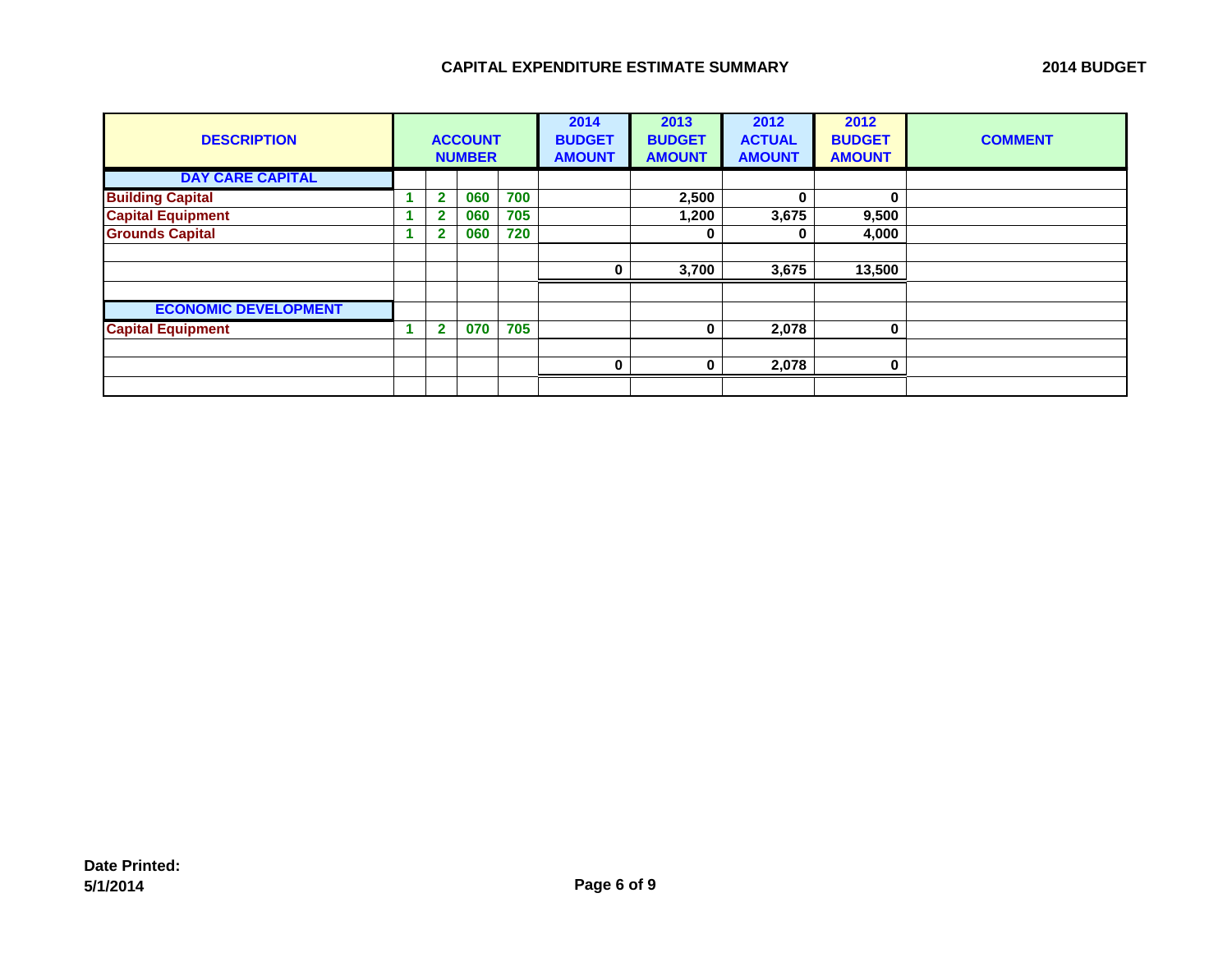| <b>DESCRIPTION</b>          | <b>ACCOUNT</b><br><b>NUMBER</b> |   |     |     | 2014<br><b>BUDGET</b><br><b>AMOUNT</b> | 2013<br><b>BUDGET</b><br><b>AMOUNT</b> | 2012<br><b>ACTUAL</b><br><b>AMOUNT</b> | 2012<br><b>BUDGET</b><br><b>AMOUNT</b> | <b>COMMENT</b> |
|-----------------------------|---------------------------------|---|-----|-----|----------------------------------------|----------------------------------------|----------------------------------------|----------------------------------------|----------------|
| <b>DAY CARE CAPITAL</b>     |                                 |   |     |     |                                        |                                        |                                        |                                        |                |
| <b>Building Capital</b>     |                                 | 2 | 060 | 700 |                                        | 2,500                                  | $\mathbf{0}$                           | $\bf{0}$                               |                |
| <b>Capital Equipment</b>    |                                 |   | 060 | 705 |                                        | ,200                                   | 3,675                                  | 9,500                                  |                |
| <b>Grounds Capital</b>      |                                 | e | 060 | 720 |                                        | 0                                      | 0                                      | 4,000                                  |                |
|                             |                                 |   |     |     |                                        |                                        |                                        |                                        |                |
|                             |                                 |   |     |     | O                                      | 3,700                                  | 3,675                                  | 13,500                                 |                |
|                             |                                 |   |     |     |                                        |                                        |                                        |                                        |                |
| <b>ECONOMIC DEVELOPMENT</b> |                                 |   |     |     |                                        |                                        |                                        |                                        |                |
| <b>Capital Equipment</b>    |                                 | 2 | 070 | 705 |                                        | 0                                      | 2,078                                  | 0                                      |                |
|                             |                                 |   |     |     |                                        |                                        |                                        |                                        |                |
|                             |                                 |   |     |     | $\bf{0}$                               | 0                                      | 2,078                                  | 0                                      |                |
|                             |                                 |   |     |     |                                        |                                        |                                        |                                        |                |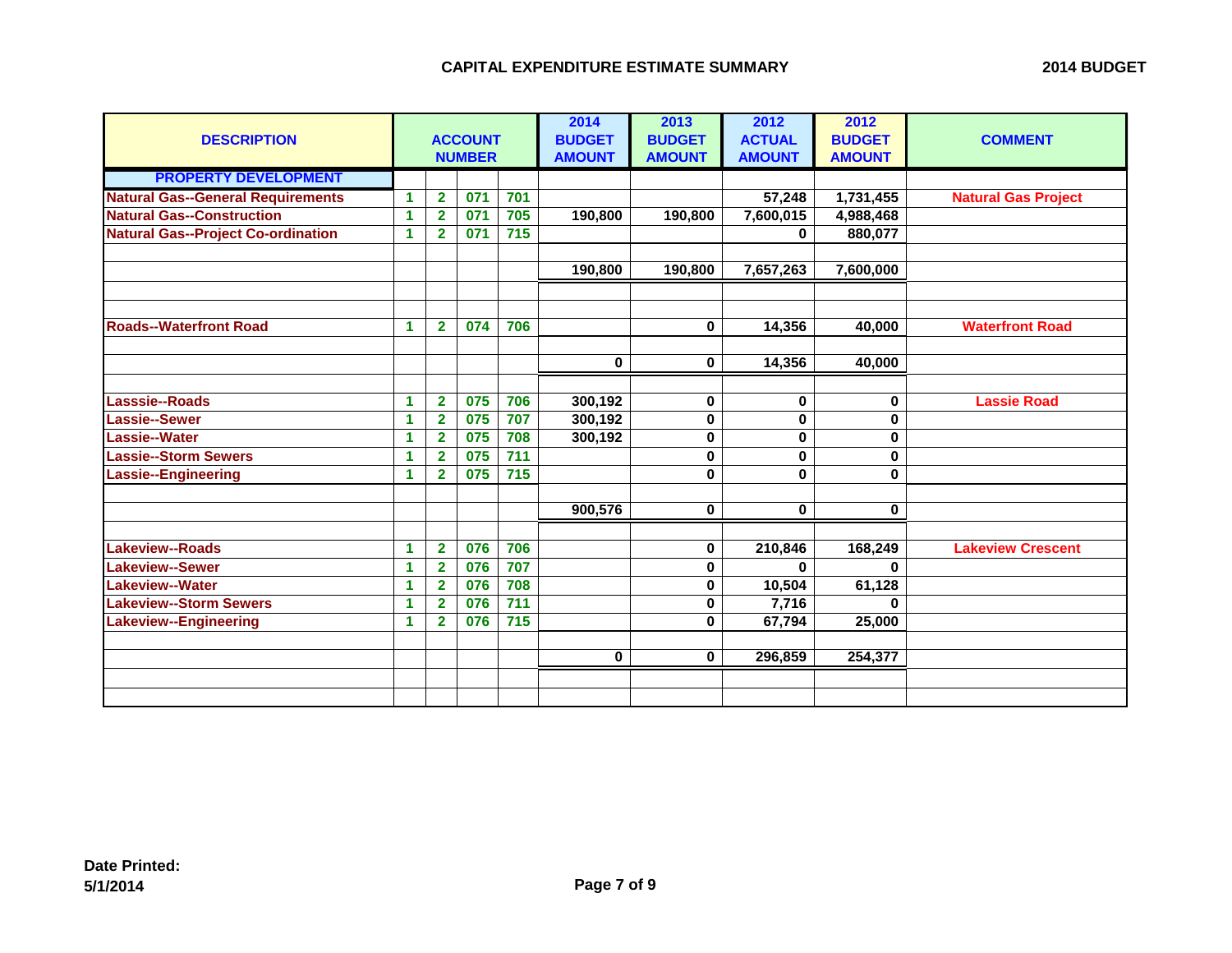| <b>DESCRIPTION</b>                        |                      |                | <b>ACCOUNT</b><br><b>NUMBER</b> |       | 2014<br><b>BUDGET</b><br><b>AMOUNT</b> | 2013<br><b>BUDGET</b><br><b>AMOUNT</b> | 2012<br><b>ACTUAL</b><br><b>AMOUNT</b> | 2012<br><b>BUDGET</b><br><b>AMOUNT</b> | <b>COMMENT</b>             |
|-------------------------------------------|----------------------|----------------|---------------------------------|-------|----------------------------------------|----------------------------------------|----------------------------------------|----------------------------------------|----------------------------|
| <b>PROPERTY DEVELOPMENT</b>               |                      |                |                                 |       |                                        |                                        |                                        |                                        |                            |
| <b>Natural Gas--General Requirements</b>  | 1                    | $\overline{2}$ | 071                             | 701   |                                        |                                        | 57,248                                 | 1,731,455                              | <b>Natural Gas Project</b> |
| <b>Natural Gas--Construction</b>          | 1                    | $\overline{2}$ | 071                             | 705   | 190,800                                | 190,800                                | 7,600,015                              | 4,988,468                              |                            |
| <b>Natural Gas--Project Co-ordination</b> | 1                    | $\overline{2}$ | 071                             | 715   |                                        |                                        | 0                                      | 880,077                                |                            |
|                                           |                      |                |                                 |       |                                        |                                        |                                        |                                        |                            |
|                                           |                      |                |                                 |       | 190,800                                | 190,800                                | 7,657,263                              | 7,600,000                              |                            |
|                                           |                      |                |                                 |       |                                        |                                        |                                        |                                        |                            |
| <b>Roads--Waterfront Road</b>             | $\blacktriangleleft$ | $\mathbf{2}$   | 074                             | 706   |                                        | $\bf{0}$                               | 14,356                                 | 40,000                                 | <b>Waterfront Road</b>     |
|                                           |                      |                |                                 |       |                                        |                                        |                                        |                                        |                            |
|                                           |                      |                |                                 |       | $\bf{0}$                               | $\bf{0}$                               | 14,356                                 | 40,000                                 |                            |
|                                           |                      |                |                                 |       |                                        |                                        |                                        |                                        |                            |
| Lasssie--Roads                            | $\blacktriangleleft$ | $\mathbf{2}$   | 075                             | 706   | 300,192                                | 0                                      | 0                                      | 0                                      | <b>Lassie Road</b>         |
| <b>Lassie--Sewer</b>                      | 1                    | $\overline{2}$ | 075                             | 707   | 300,192                                | $\bf{0}$                               | $\bf{0}$                               | 0                                      |                            |
| <b>Lassie--Water</b>                      | 1                    | $\overline{2}$ | 075                             | 708   | 300,192                                | $\pmb{0}$                              | $\mathbf 0$                            | 0                                      |                            |
| <b>Lassie--Storm Sewers</b>               | $\blacktriangleleft$ | $\mathbf{2}$   | 075                             | 711   |                                        | $\bf{0}$                               | $\mathbf{0}$                           | 0                                      |                            |
| <b>Lassie--Engineering</b>                | 1                    | $\overline{2}$ | 075                             | 715   |                                        | $\bf{0}$                               | $\mathbf{0}$                           | 0                                      |                            |
|                                           |                      |                |                                 |       |                                        |                                        |                                        |                                        |                            |
|                                           |                      |                |                                 |       | 900,576                                | $\bf{0}$                               | $\mathbf 0$                            | $\mathbf 0$                            |                            |
|                                           |                      |                |                                 |       |                                        |                                        |                                        |                                        |                            |
| <b>Lakeview--Roads</b>                    | 1                    | $\overline{2}$ | 076                             | 706   |                                        | $\pmb{0}$                              | 210,846                                | 168,249                                | <b>Lakeview Crescent</b>   |
| <b>Lakeview--Sewer</b>                    | 1                    | $\overline{2}$ | 076                             | 707   |                                        | $\bf{0}$                               | $\mathbf{0}$                           |                                        |                            |
| <b>Lakeview--Water</b>                    | $\blacktriangleleft$ | $\overline{2}$ | 076                             | 708   |                                        | $\bf{0}$                               | 10,504                                 | 61,128                                 |                            |
| <b>Lakeview--Storm Sewers</b>             | $\blacktriangleleft$ | $\mathbf{2}$   | 076                             | $711$ |                                        | 0                                      | 7,716                                  | 0                                      |                            |
| <b>Lakeview--Engineering</b>              | 1                    | $\overline{2}$ | 076                             | 715   |                                        | $\bf{0}$                               | 67,794                                 | 25,000                                 |                            |
|                                           |                      |                |                                 |       |                                        |                                        |                                        |                                        |                            |
|                                           |                      |                |                                 |       | $\bf{0}$                               | $\bf{0}$                               | 296,859                                | 254,377                                |                            |
|                                           |                      |                |                                 |       |                                        |                                        |                                        |                                        |                            |
|                                           |                      |                |                                 |       |                                        |                                        |                                        |                                        |                            |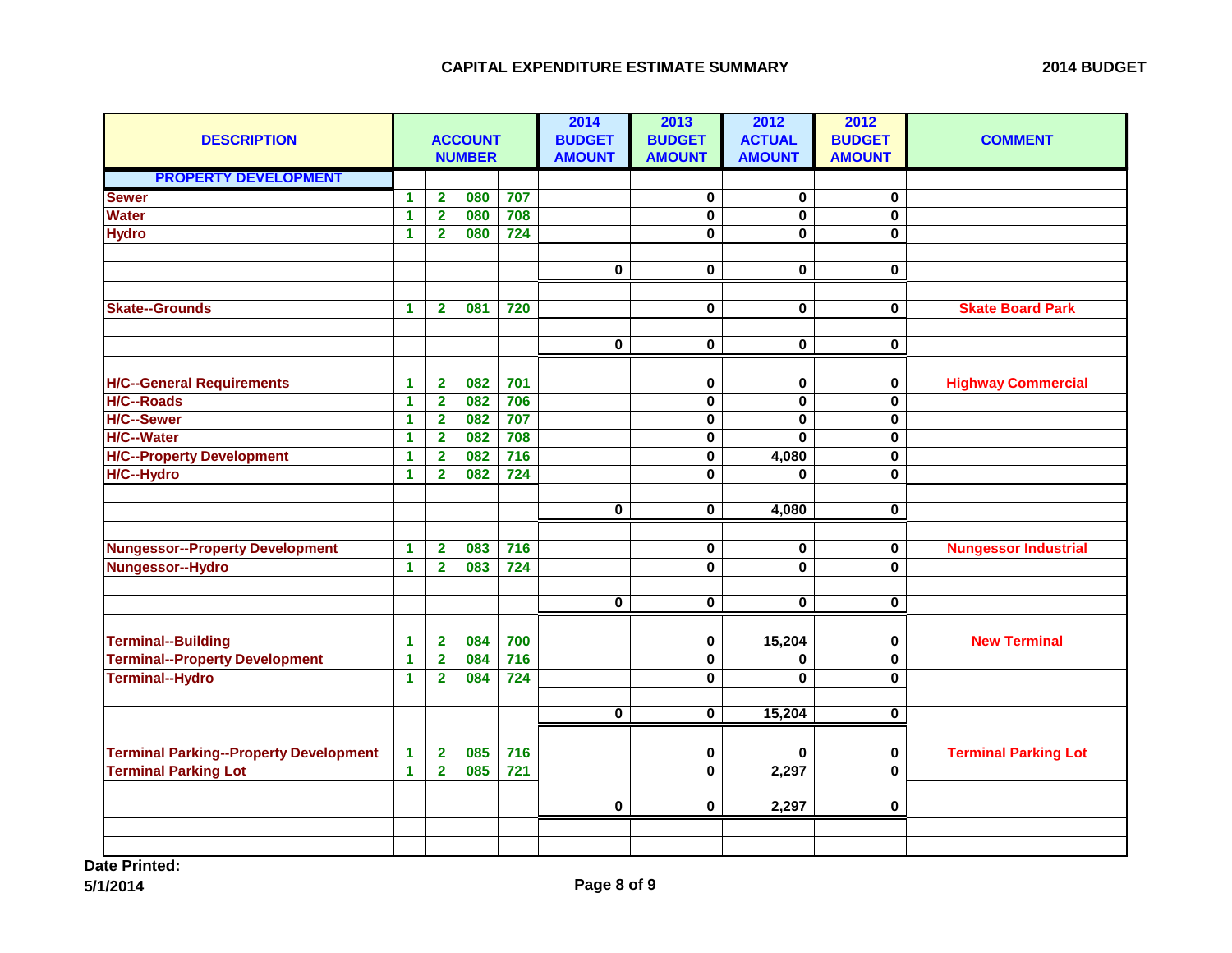| <b>DESCRIPTION</b>                            | <b>ACCOUNT</b><br><b>NUMBER</b> |                         |     |                  | 2014<br><b>BUDGET</b><br><b>AMOUNT</b> | 2013<br><b>BUDGET</b><br><b>AMOUNT</b> | 2012<br><b>ACTUAL</b><br><b>AMOUNT</b> | 2012<br><b>BUDGET</b><br><b>AMOUNT</b> | <b>COMMENT</b>              |
|-----------------------------------------------|---------------------------------|-------------------------|-----|------------------|----------------------------------------|----------------------------------------|----------------------------------------|----------------------------------------|-----------------------------|
| <b>PROPERTY DEVELOPMENT</b>                   |                                 |                         |     |                  |                                        |                                        |                                        |                                        |                             |
| <b>Sewer</b>                                  | $\mathbf{1}$                    | $\overline{2}$          | 080 | 707              |                                        | 0                                      | 0                                      | 0                                      |                             |
| <b>Water</b>                                  | 1                               | $\overline{2}$          | 080 | 708              |                                        | $\pmb{0}$                              | $\mathbf 0$                            | $\mathbf 0$                            |                             |
| <b>Hydro</b>                                  | $\overline{\mathbf{1}}$         | $\overline{2}$          | 080 | 724              |                                        | $\mathbf 0$                            | 0                                      | 0                                      |                             |
|                                               |                                 |                         |     |                  |                                        |                                        |                                        |                                        |                             |
|                                               |                                 |                         |     |                  | $\bf{0}$                               | $\bf{0}$                               | $\mathbf 0$                            | $\mathbf 0$                            |                             |
|                                               |                                 |                         |     |                  |                                        |                                        |                                        |                                        |                             |
| <b>Skate--Grounds</b>                         | $\blacktriangleleft$            | $\overline{2}$          | 081 | 720              |                                        | $\mathbf 0$                            | 0                                      | 0                                      | <b>Skate Board Park</b>     |
|                                               |                                 |                         |     |                  |                                        |                                        |                                        |                                        |                             |
|                                               |                                 |                         |     |                  | $\mathbf 0$                            | $\bf{0}$                               | $\mathbf 0$                            | $\mathbf 0$                            |                             |
|                                               |                                 |                         |     |                  |                                        |                                        |                                        |                                        |                             |
| <b>H/C--General Requirements</b>              | $\mathbf{1}$                    | $\overline{2}$          | 082 | 701              |                                        | $\bf{0}$                               | 0                                      | 0                                      | <b>Highway Commercial</b>   |
| <b>H/C--Roads</b>                             | $\blacktriangleleft$            | $\overline{\mathbf{2}}$ | 082 | 706              |                                        | $\pmb{0}$                              | $\pmb{0}$                              | 0                                      |                             |
| <b>H/C--Sewer</b>                             | 1                               | $\overline{2}$          | 082 | 707              |                                        | $\pmb{0}$                              | $\mathbf 0$                            | 0                                      |                             |
| <b>H/C--Water</b>                             | $\blacktriangleleft$            | $\overline{\mathbf{2}}$ | 082 | 708              |                                        | $\mathbf 0$                            | $\bf{0}$                               | 0                                      |                             |
| <b>H/C--Property Development</b>              | $\blacktriangleleft$            | $\overline{2}$          | 082 | $\frac{1}{716}$  |                                        | $\overline{\mathbf{0}}$                | 4,080                                  | 0                                      |                             |
| H/C--Hydro                                    | 1                               | $\overline{2}$          | 082 | 724              |                                        | $\mathbf 0$                            | 0                                      | 0                                      |                             |
|                                               |                                 |                         |     |                  |                                        |                                        |                                        |                                        |                             |
|                                               |                                 |                         |     |                  | $\bf{0}$                               | $\mathbf 0$                            | 4,080                                  | 0                                      |                             |
|                                               |                                 |                         |     |                  |                                        |                                        |                                        |                                        |                             |
| <b>Nungessor--Property Development</b>        | $\mathbf 1$                     | $\overline{2}$          | 083 | 716              |                                        | $\pmb{0}$                              | 0                                      | 0                                      | <b>Nungessor Industrial</b> |
| Nungessor--Hydro                              | 1                               | $\overline{2}$          | 083 | 724              |                                        | $\overline{\mathbf{0}}$                | $\overline{\mathbf{0}}$                | $\mathbf{0}$                           |                             |
|                                               |                                 |                         |     |                  |                                        |                                        |                                        |                                        |                             |
|                                               |                                 |                         |     |                  | $\mathbf 0$                            | $\overline{\mathbf{0}}$                | $\mathbf 0$                            | 0                                      |                             |
|                                               |                                 |                         |     |                  |                                        |                                        |                                        |                                        |                             |
| Terminal--Building                            | $\blacktriangleleft$            | $\overline{\mathbf{2}}$ | 084 | 700              |                                        | 0                                      | 15,204                                 | 0                                      | <b>New Terminal</b>         |
| <b>Terminal--Property Development</b>         | $\blacktriangleleft$            | $\overline{\mathbf{2}}$ | 084 | $\overline{716}$ |                                        | $\pmb{0}$                              | 0                                      | 0                                      |                             |
| Terminal--Hydro                               | $\blacktriangleleft$            | $\overline{2}$          | 084 | 724              |                                        | $\mathbf 0$                            | 0                                      | $\bf{0}$                               |                             |
|                                               |                                 |                         |     |                  |                                        |                                        |                                        |                                        |                             |
|                                               |                                 |                         |     |                  | $\bf{0}$                               | $\bf{0}$                               | 15,204                                 | 0                                      |                             |
|                                               |                                 |                         |     |                  |                                        |                                        |                                        |                                        |                             |
| <b>Terminal Parking--Property Development</b> | $\mathbf{1}$                    | $\mathbf{2}$            | 085 | $\overline{716}$ |                                        | $\pmb{0}$                              | 0                                      | $\pmb{0}$                              | <b>Terminal Parking Lot</b> |
| <b>Terminal Parking Lot</b>                   | $\mathbf 1$                     | $\overline{2}$          | 085 | $721$            |                                        | $\pmb{0}$                              | 2,297                                  | 0                                      |                             |
|                                               |                                 |                         |     |                  |                                        |                                        |                                        |                                        |                             |
|                                               |                                 |                         |     |                  | $\bf{0}$                               | $\mathbf 0$                            | 2,297                                  | $\bf{0}$                               |                             |
|                                               |                                 |                         |     |                  |                                        |                                        |                                        |                                        |                             |
|                                               |                                 |                         |     |                  |                                        |                                        |                                        |                                        |                             |